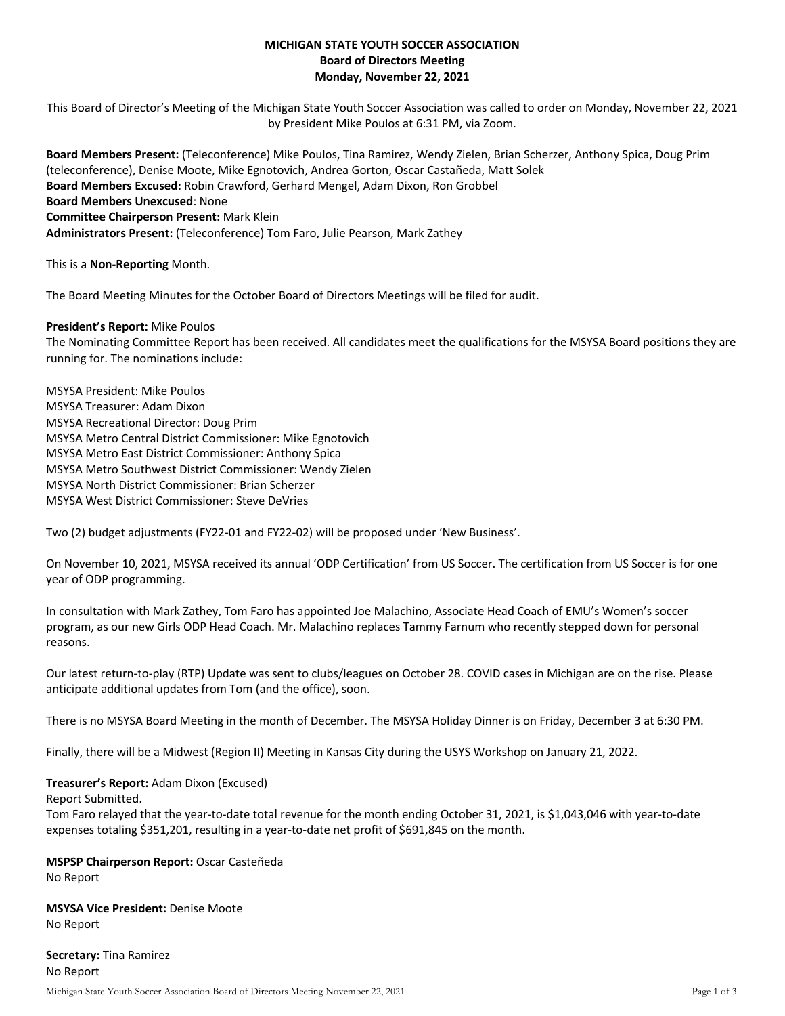# **MICHIGAN STATE YOUTH SOCCER ASSOCIATION Board of Directors Meeting Monday, November 22, 2021**

This Board of Director's Meeting of the Michigan State Youth Soccer Association was called to order on Monday, November 22, 2021 by President Mike Poulos at 6:31 PM, via Zoom.

**Board Members Present:** (Teleconference) Mike Poulos, Tina Ramirez, Wendy Zielen, Brian Scherzer, Anthony Spica, Doug Prim (teleconference), Denise Moote, Mike Egnotovich, Andrea Gorton, Oscar Castañeda, Matt Solek **Board Members Excused:** Robin Crawford, Gerhard Mengel, Adam Dixon, Ron Grobbel **Board Members Unexcused**: None **Committee Chairperson Present:** Mark Klein **Administrators Present:** (Teleconference) Tom Faro, Julie Pearson, Mark Zathey

This is a **Non**-**Reporting** Month.

The Board Meeting Minutes for the October Board of Directors Meetings will be filed for audit.

## **President's Report:** Mike Poulos

The Nominating Committee Report has been received. All candidates meet the qualifications for the MSYSA Board positions they are running for. The nominations include:

MSYSA President: Mike Poulos MSYSA Treasurer: Adam Dixon MSYSA Recreational Director: Doug Prim MSYSA Metro Central District Commissioner: Mike Egnotovich MSYSA Metro East District Commissioner: Anthony Spica MSYSA Metro Southwest District Commissioner: Wendy Zielen MSYSA North District Commissioner: Brian Scherzer MSYSA West District Commissioner: Steve DeVries

Two (2) budget adjustments (FY22-01 and FY22-02) will be proposed under 'New Business'.

On November 10, 2021, MSYSA received its annual 'ODP Certification' from US Soccer. The certification from US Soccer is for one year of ODP programming.

In consultation with Mark Zathey, Tom Faro has appointed Joe Malachino, Associate Head Coach of EMU's Women's soccer program, as our new Girls ODP Head Coach. Mr. Malachino replaces Tammy Farnum who recently stepped down for personal reasons.

Our latest return-to-play (RTP) Update was sent to clubs/leagues on October 28. COVID cases in Michigan are on the rise. Please anticipate additional updates from Tom (and the office), soon.

There is no MSYSA Board Meeting in the month of December. The MSYSA Holiday Dinner is on Friday, December 3 at 6:30 PM.

Finally, there will be a Midwest (Region II) Meeting in Kansas City during the USYS Workshop on January 21, 2022.

### **Treasurer's Report:** Adam Dixon (Excused)

Report Submitted.

Tom Faro relayed that the year-to-date total revenue for the month ending October 31, 2021, is \$1,043,046 with year-to-date expenses totaling \$351,201, resulting in a year-to-date net profit of \$691,845 on the month.

# **MSPSP Chairperson Report:** Oscar Casteñeda

No Report

**MSYSA Vice President:** Denise Moote No Report

Michigan State Youth Soccer Association Board of Directors Meeting November 22, 2021 Page 1 of 3 **Secretary:** Tina Ramirez No Report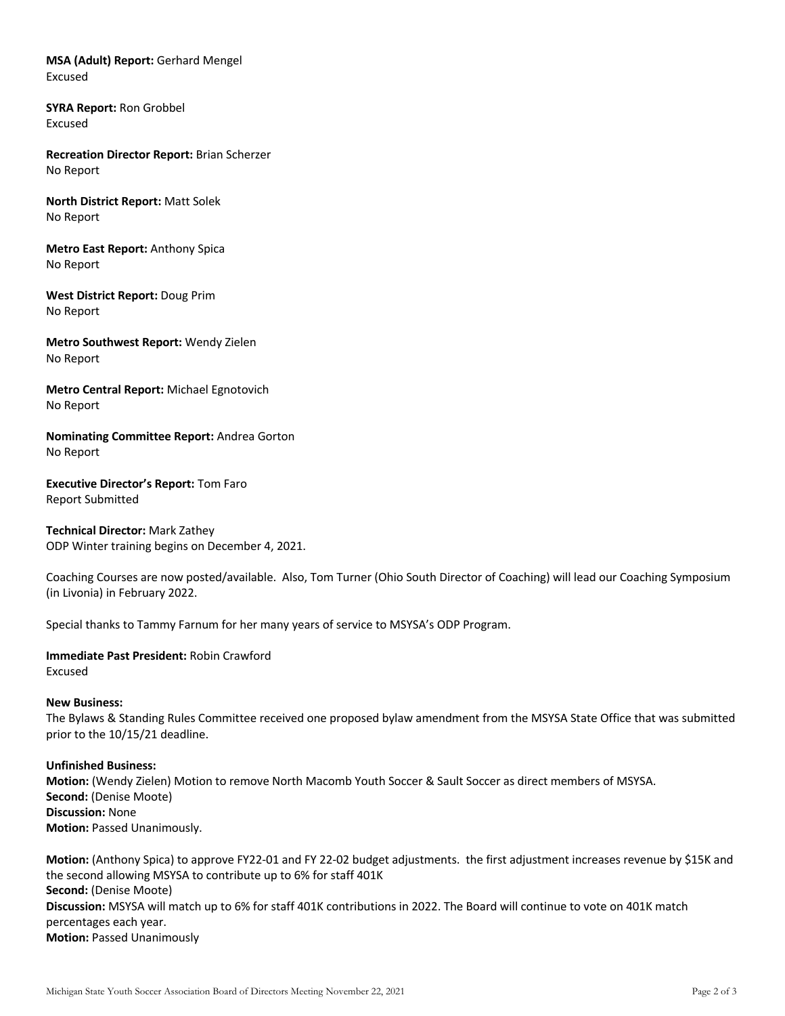**MSA (Adult) Report:** Gerhard Mengel Excused

**SYRA Report:** Ron Grobbel Excused

**Recreation Director Report:** Brian Scherzer No Report

**North District Report:** Matt Solek No Report

**Metro East Report:** Anthony Spica No Report

**West District Report:** Doug Prim No Report

**Metro Southwest Report:** Wendy Zielen No Report

**Metro Central Report:** Michael Egnotovich No Report

**Nominating Committee Report:** Andrea Gorton No Report

**Executive Director's Report:** Tom Faro Report Submitted

**Technical Director:** Mark Zathey ODP Winter training begins on December 4, 2021.

Coaching Courses are now posted/available. Also, Tom Turner (Ohio South Director of Coaching) will lead our Coaching Symposium (in Livonia) in February 2022.

Special thanks to Tammy Farnum for her many years of service to MSYSA's ODP Program.

**Immediate Past President:** Robin Crawford Excused

### **New Business:**

The Bylaws & Standing Rules Committee received one proposed bylaw amendment from the MSYSA State Office that was submitted prior to the 10/15/21 deadline.

### **Unfinished Business:**

**Motion:** (Wendy Zielen) Motion to remove North Macomb Youth Soccer & Sault Soccer as direct members of MSYSA. **Second:** (Denise Moote) **Discussion:** None **Motion: Passed Unanimously.** 

**Motion:** (Anthony Spica) to approve FY22-01 and FY 22-02 budget adjustments. the first adjustment increases revenue by \$15K and the second allowing MSYSA to contribute up to 6% for staff 401K **Second:** (Denise Moote) **Discussion:** MSYSA will match up to 6% for staff 401K contributions in 2022. The Board will continue to vote on 401K match percentages each year. **Motion: Passed Unanimously**